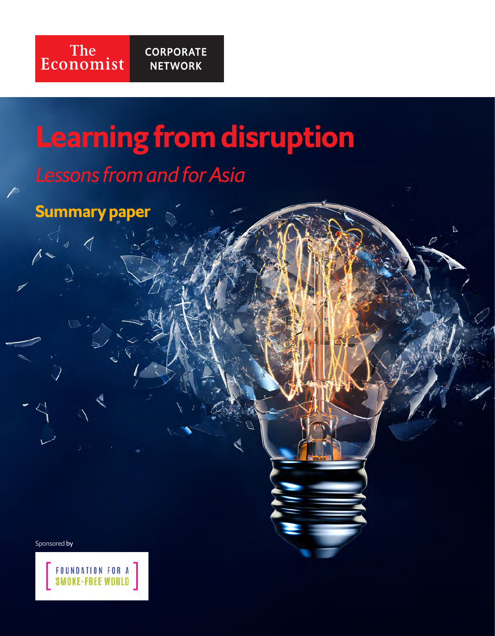

 $\overline{D}$ 

## *Lessons from and for Asia*

Summary paper

Sponsored by

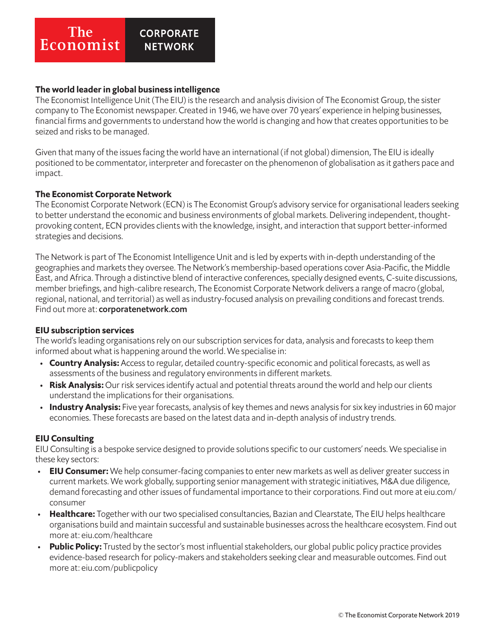#### **The CORPORATE** Economist **NETWORK**

### The world leader in global business intelligence

The Economist Intelligence Unit (The EIU) is the research and analysis division of The Economist Group, the sister company to The Economist newspaper. Created in 1946, we have over 70 years' experience in helping businesses, financial firms and governments to understand how the world is changing and how that creates opportunities to be seized and risks to be managed.

Given that many of the issues facing the world have an international (if not global) dimension, The EIU is ideally positioned to be commentator, interpreter and forecaster on the phenomenon of globalisation as it gathers pace and impact.

### The Economist Corporate Network

The Economist Corporate Network (ECN) is The Economist Group's advisory service for organisational leaders seeking to better understand the economic and business environments of global markets. Delivering independent, thoughtprovoking content, ECN provides clients with the knowledge, insight, and interaction that support better-informed strategies and decisions.

The Network is part of The Economist Intelligence Unit and is led by experts with in-depth understanding of the geographies and markets they oversee. The Network's membership-based operations cover Asia-Pacific, the Middle East, and Africa. Through a distinctive blend of interactive conferences, specially designed events, C-suite discussions, member briefings, and high-calibre research, The Economist Corporate Network delivers a range of macro (global, regional, national, and territorial) as well as industry-focused analysis on prevailing conditions and forecast trends. Find out more at: corporatenetwork.com

### EIU subscription services

The world's leading organisations rely on our subscription services for data, analysis and forecasts to keep them informed about what is happening around the world. We specialise in:

- Country Analysis: Access to regular, detailed country-specific economic and political forecasts, as well as assessments of the business and regulatory environments in different markets.
- Risk Analysis: Our risk services identify actual and potential threats around the world and help our clients understand the implications for their organisations.
- **Industry Analysis:** Five year forecasts, analysis of key themes and news analysis for six key industries in 60 major economies. These forecasts are based on the latest data and in-depth analysis of industry trends.

### EIU Consulting

EIU Consulting is a bespoke service designed to provide solutions specific to our customers' needs. We specialise in these key sectors:

- EIU Consumer: We help consumer-facing companies to enter new markets as well as deliver greater success in current markets. We work globally, supporting senior management with strategic initiatives, M&A due diligence, demand forecasting and other issues of fundamental importance to their corporations. Find out more at eiu.com/ consumer
- Healthcare: Together with our two specialised consultancies, Bazian and Clearstate, The EIU helps healthcare organisations build and maintain successful and sustainable businesses across the healthcare ecosystem. Find out more at: eiu.com/healthcare
- Public Policy: Trusted by the sector's most influential stakeholders, our global public policy practice provides evidence-based research for policy-makers and stakeholders seeking clear and measurable outcomes. Find out more at: eiu.com/publicpolicy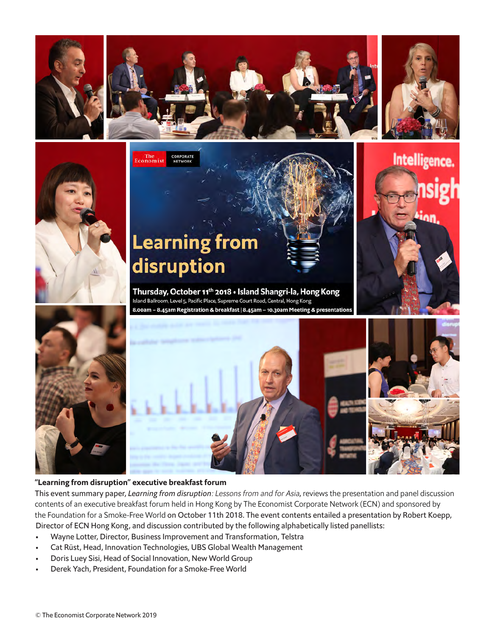







#### "Learning from disruption" executive breakfast forum

This event summary paper, *Learning from disruption*: Lessons from and for Asia, reviews the presentation and panel discussion contents of an executive breakfast forum held in Hong Kong by The Economist Corporate Network (ECN) and sponsored by the Foundation for a Smoke-Free World on October 11th 2018. The event contents entailed a presentation by Robert Koepp, Director of ECN Hong Kong, and discussion contributed by the following alphabetically listed panellists:

- Wayne Lotter, Director, Business Improvement and Transformation, Telstra
- Cat Rüst, Head, Innovation Technologies, UBS Global Wealth Management
- Doris Luey Sisi, Head of Social Innovation, New World Group
- Derek Yach, President, Foundation for a Smoke-Free World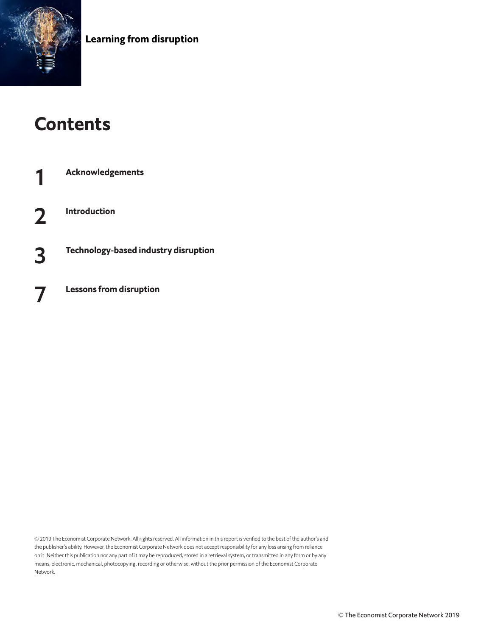

## **Contents**

**Acknowledgements** 2 Introduction 3 Technology-based industry disruption **Lessons from disruption** 

© 2019 The Economist Corporate Network. All rights reserved. All information in this report is verified to the best of the author's and the publisher's ability. However, the Economist Corporate Network does not accept responsibility for any loss arising from reliance on it. Neither this publication nor any part of it may be reproduced, stored in a retrieval system, or transmitted in any form or by any means, electronic, mechanical, photocopying, recording or otherwise, without the prior permission of the Economist Corporate Network.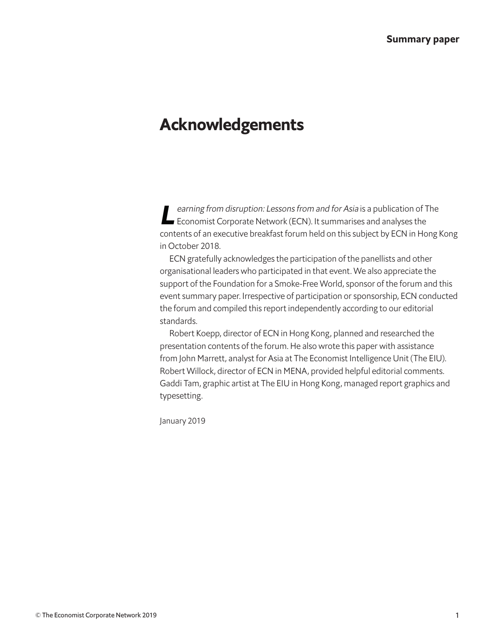## Acknowledgements

earning from disruption: Lessons from and for Asia is a publication of The<br>Economist Corporate Network (ECN). It summarises and analyses the contents of an executive breakfast forum held on this subject by ECN in Hong Kong in October 2018.

ECN gratefully acknowledges the participation of the panellists and other organisational leaders who participated in that event. We also appreciate the support of the Foundation for a Smoke-Free World, sponsor of the forum and this event summary paper. Irrespective of participation or sponsorship, ECN conducted the forum and compiled this report independently according to our editorial standards.

Robert Koepp, director of ECN in Hong Kong, planned and researched the presentation contents of the forum. He also wrote this paper with assistance from John Marrett, analyst for Asia at The Economist Intelligence Unit (The EIU). Robert Willock, director of ECN in MENA, provided helpful editorial comments. Gaddi Tam, graphic artist at The EIU in Hong Kong, managed report graphics and typesetting.

January 2019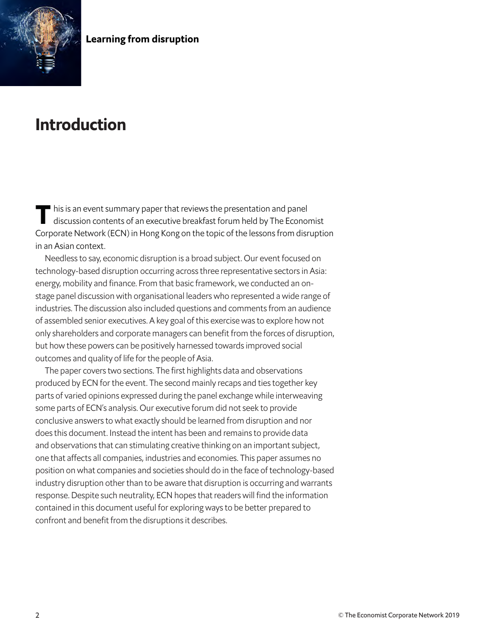

## Introduction

This is an event summary paper that reviews the presentation and panel<br>discussion contents of an executive breakfast forum held by The Economist Corporate Network (ECN) in Hong Kong on the topic of the lessons from disruption in an Asian context.

Needless to say, economic disruption is a broad subject. Our event focused on technology-based disruption occurring across three representative sectors in Asia: energy, mobility and finance. From that basic framework, we conducted an onstage panel discussion with organisational leaders who represented a wide range of industries. The discussion also included questions and comments from an audience of assembled senior executives. A key goal of this exercise was to explore how not only shareholders and corporate managers can benefit from the forces of disruption, but how these powers can be positively harnessed towards improved social outcomes and quality of life for the people of Asia.

The paper covers two sections. The first highlights data and observations produced by ECN for the event. The second mainly recaps and ties together key parts of varied opinions expressed during the panel exchange while interweaving some parts of ECN's analysis. Our executive forum did not seek to provide conclusive answers to what exactly should be learned from disruption and nor does this document. Instead the intent has been and remains to provide data and observations that can stimulating creative thinking on an important subject, one that affects all companies, industries and economies. This paper assumes no position on what companies and societies should do in the face of technology-based industry disruption other than to be aware that disruption is occurring and warrants response. Despite such neutrality, ECN hopes that readers will find the information contained in this document useful for exploring ways to be better prepared to confront and benefit from the disruptions it describes.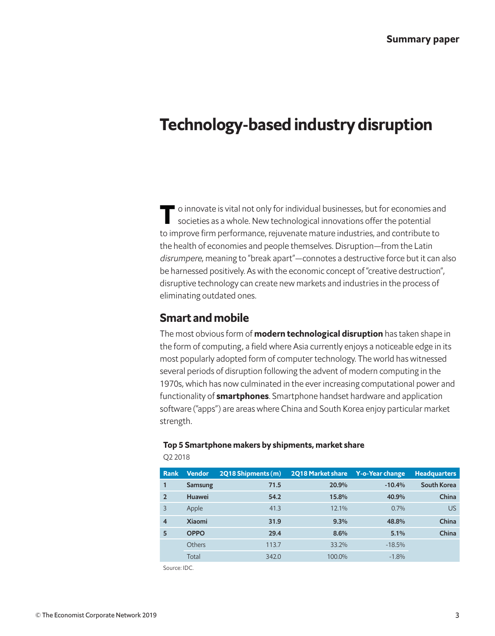## Technology-based industry disruption

To innovate is vital not only for individual businesses, but for economies and societies as a whole. New technological innovations offer the potential to improve firm performance, rejuvenate mature industries, and contribute to the health of economies and people themselves. Disruption—from the Latin disrumpere, meaning to "break apart"—connotes a destructive force but it can also be harnessed positively. As with the economic concept of "creative destruction", disruptive technology can create new markets and industries in the process of eliminating outdated ones.

## Smart and mobile

The most obvious form of **modern technological disruption** has taken shape in the form of computing, a field where Asia currently enjoys a noticeable edge in its most popularly adopted form of computer technology. The world has witnessed several periods of disruption following the advent of modern computing in the 1970s, which has now culminated in the ever increasing computational power and functionality of **smartphones**. Smartphone handset hardware and application software ("apps") are areas where China and South Korea enjoy particular market strength.

#### Top 5 Smartphone makers by shipments, market share

Rank Vendor 2Q18 Shipments (m) 2Q18 Market share Y-o-Year change Headquarters 1 Samsung 71.5 20.9% -10.4% South Korea 2 Huawei 54.2 15.8% 40.9% China 3 Apple 41.3 12.1% 0.7% US 4 Xiaomi 31.9 9.3% 48.8% China 5 OPPO 29.4 8.6% 5.1% China Others 113.7 33.2% -18.5% Total 342.0 100.0% -1.8%

Q2 2018

Source: IDC.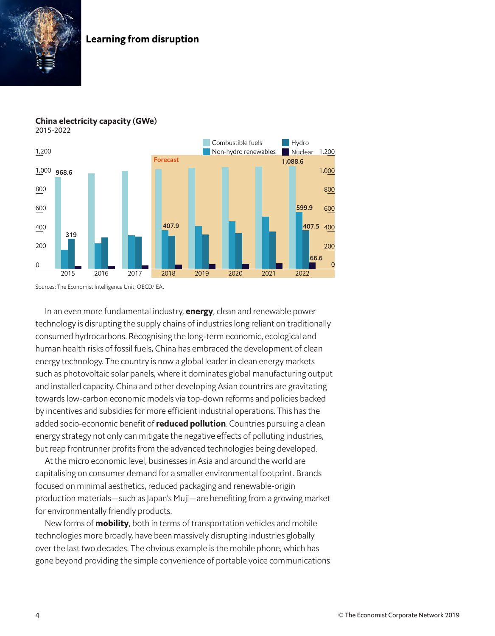





Sources: The Economist Intelligence Unit; OECD/IEA.

In an even more fundamental industry, **energy**, clean and renewable power technology is disrupting the supply chains of industries long reliant on traditionally consumed hydrocarbons. Recognising the long-term economic, ecological and human health risks of fossil fuels, China has embraced the development of clean energy technology. The country is now a global leader in clean energy markets such as photovoltaic solar panels, where it dominates global manufacturing output and installed capacity. China and other developing Asian countries are gravitating towards low-carbon economic models via top-down reforms and policies backed by incentives and subsidies for more efficient industrial operations. This has the added socio-economic benefit of reduced pollution. Countries pursuing a clean energy strategy not only can mitigate the negative effects of polluting industries, but reap frontrunner profits from the advanced technologies being developed.

At the micro economic level, businesses in Asia and around the world are capitalising on consumer demand for a smaller environmental footprint. Brands focused on minimal aesthetics, reduced packaging and renewable-origin production materials—such as Japan's Muji—are benefiting from a growing market for environmentally friendly products.

New forms of **mobility**, both in terms of transportation vehicles and mobile technologies more broadly, have been massively disrupting industries globally over the last two decades. The obvious example is the mobile phone, which has gone beyond providing the simple convenience of portable voice communications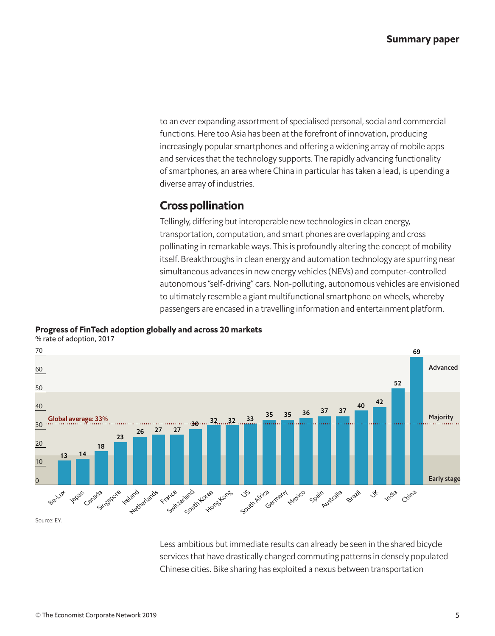to an ever expanding assortment of specialised personal, social and commercial functions. Here too Asia has been at the forefront of innovation, producing increasingly popular smartphones and offering a widening array of mobile apps and services that the technology supports. The rapidly advancing functionality of smartphones, an area where China in particular has taken a lead, is upending a diverse array of industries.

## Cross pollination

Tellingly, differing but interoperable new technologies in clean energy, transportation, computation, and smart phones are overlapping and cross pollinating in remarkable ways. This is profoundly altering the concept of mobility itself. Breakthroughs in clean energy and automation technology are spurring near simultaneous advances in new energy vehicles (NEVs) and computer-controlled autonomous "self-driving" cars. Non-polluting, autonomous vehicles are envisioned to ultimately resemble a giant multifunctional smartphone on wheels, whereby passengers are encased in a travelling information and entertainment platform.



### Progress of FinTech adoption globally and across 20 markets

Source: EY.

Less ambitious but immediate results can already be seen in the shared bicycle services that have drastically changed commuting patterns in densely populated Chinese cities. Bike sharing has exploited a nexus between transportation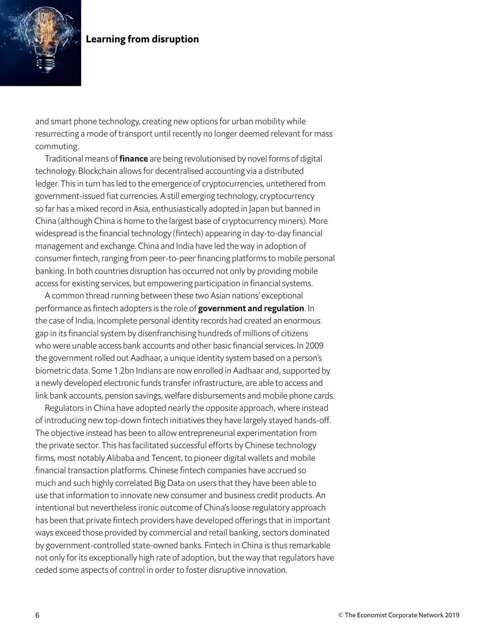

and smart phone technology, creating new options for urban mobility while resurrecting a mode of transport until recently no longer deemed relevant for mass commuting.

Traditional means of *finance* are being revolutionised by novel forms of digital technology. Blockchain allows for decentralised accounting via a distributed ledger. This in turn has led to the emergence of cryptocurrencies, untethered from government-issued fiat currencies. A still emerging technology, cryptocurrency so far has a mixed record in Asia, enthusiastically adopted in Japan but banned in China (although China is home to the largest base of cryptocurrency miners). More widespread is the financial technology (fintech) appearing in day-to-day financial management and exchange. China and India have led the way in adoption of consumer fintech, ranging from peer-to-peer financing platforms to mobile personal banking. In both countries disruption has occurred not only by providing mobile access for existing services, but empowering participation in financial systems.

A common thread running between these two Asian nations' exceptional performance as fintech adopters is the role of government and regulation. In the case of India, incomplete personal identity records had created an enormous gap in its financial system by disenfranchising hundreds of millions of citizens who were unable access bank accounts and other basic financial services. In 2009 the government rolled out Aadhaar, a unique identity system based on a person's biometric data. Some 1.2bn Indians are now enrolled in Aadhaar and, supported by a newly developed electronic funds transfer infrastructure, are able to access and link bank accounts, pension savings, welfare disbursements and mobile phone cards.

Regulators in China have adopted nearly the opposite approach, where instead of introducing new top-down fintech initiatives they have largely stayed hands-off. The objective instead has been to allow entrepreneurial experimentation from the private sector. This has facilitated successful efforts by Chinese technology firms, most notably Alibaba and Tencent, to pioneer digital wallets and mobile financial transaction platforms. Chinese fintech companies have accrued so much and such highly correlated Big Data on users that they have been able to use that information to innovate new consumer and business credit products. An intentional but nevertheless ironic outcome of China's loose regulatory approach has been that private fintech providers have developed offerings that in important ways exceed those provided by commercial and retail banking, sectors dominated by government-controlled state-owned banks. Fintech in China is thus remarkable not only for its exceptionally high rate of adoption, but the way that regulators have ceded some aspects of control in order to foster disruptive innovation.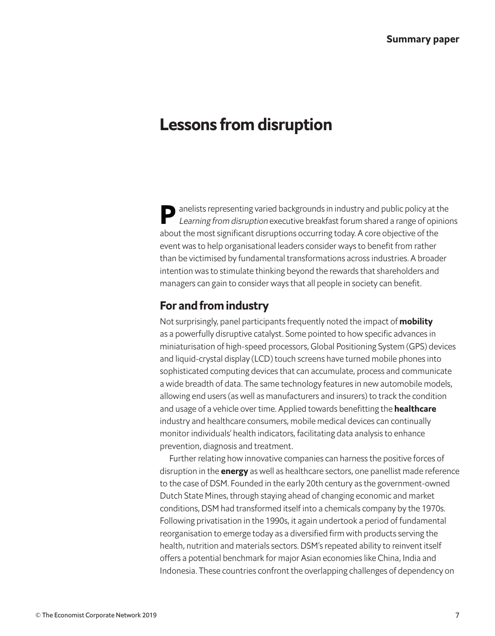## Lessons from disruption

Panelists representing varied backgrounds in industry and public policy at the Learning from disruption executive breakfast forum shared a range of opinions about the most significant disruptions occurring today. A core objective of the event was to help organisational leaders consider ways to benefit from rather than be victimised by fundamental transformations across industries. A broader intention was to stimulate thinking beyond the rewards that shareholders and managers can gain to consider ways that all people in society can benefit.

## For and from industry

Not surprisingly, panel participants frequently noted the impact of mobility as a powerfully disruptive catalyst. Some pointed to how specific advances in miniaturisation of high-speed processors, Global Positioning System (GPS) devices and liquid-crystal display (LCD) touch screens have turned mobile phones into sophisticated computing devices that can accumulate, process and communicate a wide breadth of data. The same technology features in new automobile models, allowing end users (as well as manufacturers and insurers) to track the condition and usage of a vehicle over time. Applied towards benefitting the **healthcare** industry and healthcare consumers, mobile medical devices can continually monitor individuals' health indicators, facilitating data analysis to enhance prevention, diagnosis and treatment.

Further relating how innovative companies can harness the positive forces of disruption in the **energy** as well as healthcare sectors, one panellist made reference to the case of DSM. Founded in the early 20th century as the government-owned Dutch State Mines, through staying ahead of changing economic and market conditions, DSM had transformed itself into a chemicals company by the 1970s. Following privatisation in the 1990s, it again undertook a period of fundamental reorganisation to emerge today as a diversified firm with products serving the health, nutrition and materials sectors. DSM's repeated ability to reinvent itself offers a potential benchmark for major Asian economies like China, India and Indonesia. These countries confront the overlapping challenges of dependency on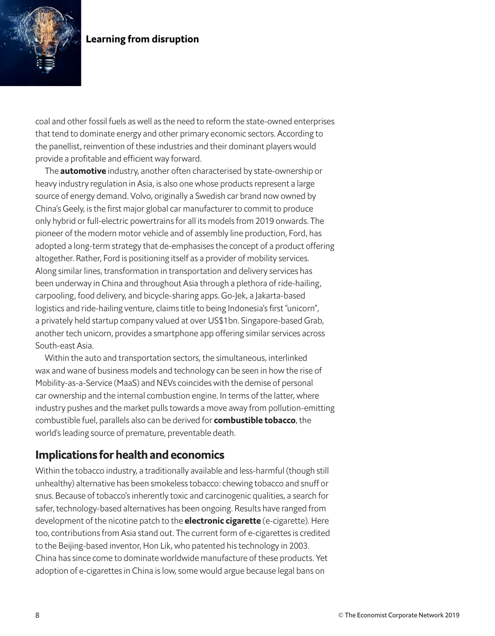

coal and other fossil fuels as well as the need to reform the state-owned enterprises that tend to dominate energy and other primary economic sectors. According to the panellist, reinvention of these industries and their dominant players would provide a profitable and efficient way forward.

The **automotive** industry, another often characterised by state-ownership or heavy industry regulation in Asia, is also one whose products represent a large source of energy demand. Volvo, originally a Swedish car brand now owned by China's Geely, is the first major global car manufacturer to commit to produce only hybrid or full-electric powertrains for all its models from 2019 onwards. The pioneer of the modern motor vehicle and of assembly line production, Ford, has adopted a long-term strategy that de-emphasises the concept of a product offering altogether. Rather, Ford is positioning itself as a provider of mobility services. Along similar lines, transformation in transportation and delivery services has been underway in China and throughout Asia through a plethora of ride-hailing, carpooling, food delivery, and bicycle-sharing apps. Go-Jek, a Jakarta-based logistics and ride-hailing venture, claims title to being Indonesia's first "unicorn", a privately held startup company valued at over US\$1bn. Singapore-based Grab, another tech unicorn, provides a smartphone app offering similar services across South-east Asia.

Within the auto and transportation sectors, the simultaneous, interlinked wax and wane of business models and technology can be seen in how the rise of Mobility-as-a-Service (MaaS) and NEVs coincides with the demise of personal car ownership and the internal combustion engine. In terms of the latter, where industry pushes and the market pulls towards a move away from pollution-emitting combustible fuel, parallels also can be derived for **combustible tobacco**, the world's leading source of premature, preventable death.

## Implications for health and economics

Within the tobacco industry, a traditionally available and less-harmful (though still unhealthy) alternative has been smokeless tobacco: chewing tobacco and snuff or snus. Because of tobacco's inherently toxic and carcinogenic qualities, a search for safer, technology-based alternatives has been ongoing. Results have ranged from development of the nicotine patch to the **electronic cigarette** (e-cigarette). Here too, contributions from Asia stand out. The current form of e-cigarettes is credited to the Beijing-based inventor, Hon Lik, who patented his technology in 2003. China has since come to dominate worldwide manufacture of these products. Yet adoption of e-cigarettes in China is low, some would argue because legal bans on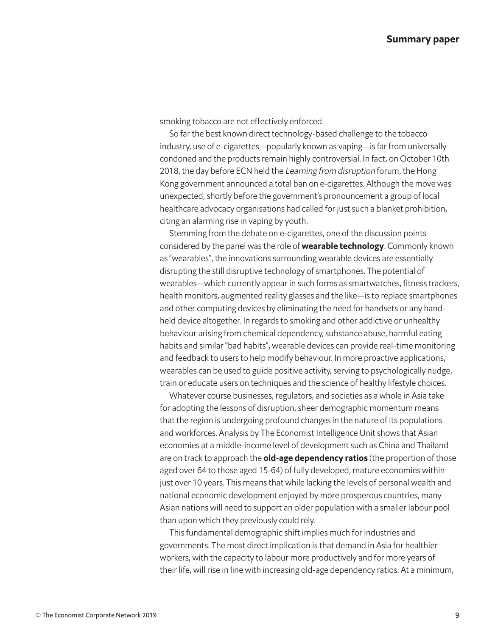smoking tobacco are not effectively enforced.

So far the best known direct technology-based challenge to the tobacco industry, use of e-cigarettes—popularly known as vaping—is far from universally condoned and the products remain highly controversial. In fact, on October 10th 2018, the day before ECN held the Learning from disruption forum, the Hong Kong government announced a total ban on e-cigarettes. Although the move was unexpected, shortly before the government's pronouncement a group of local healthcare advocacy organisations had called for just such a blanket prohibition, citing an alarming rise in vaping by youth.

Stemming from the debate on e-cigarettes, one of the discussion points considered by the panel was the role of **wearable technology**. Commonly known as "wearables", the innovations surrounding wearable devices are essentially disrupting the still disruptive technology of smartphones. The potential of wearables—which currently appear in such forms as smartwatches, fitness trackers, health monitors, augmented reality glasses and the like—is to replace smartphones and other computing devices by eliminating the need for handsets or any handheld device altogether. In regards to smoking and other addictive or unhealthy behaviour arising from chemical dependency, substance abuse, harmful eating habits and similar "bad habits", wearable devices can provide real-time monitoring and feedback to users to help modify behaviour. In more proactive applications, wearables can be used to guide positive activity, serving to psychologically nudge, train or educate users on techniques and the science of healthy lifestyle choices.

Whatever course businesses, regulators, and societies as a whole in Asia take for adopting the lessons of disruption, sheer demographic momentum means that the region is undergoing profound changes in the nature of its populations and workforces. Analysis by The Economist Intelligence Unit shows that Asian economies at a middle-income level of development such as China and Thailand are on track to approach the **old-age dependency ratios** (the proportion of those aged over 64 to those aged 15-64) of fully developed, mature economies within just over 10 years. This means that while lacking the levels of personal wealth and national economic development enjoyed by more prosperous countries, many Asian nations will need to support an older population with a smaller labour pool than upon which they previously could rely.

This fundamental demographic shift implies much for industries and governments. The most direct implication is that demand in Asia for healthier workers, with the capacity to labour more productively and for more years of their life, will rise in line with increasing old-age dependency ratios. At a minimum,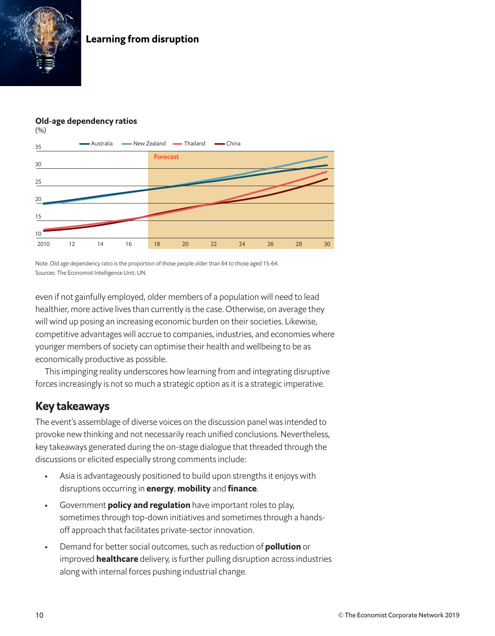

## Old-age dependency ratios



Note. Old age dependency ratio is the proportion of those people older than 64 to those aged 15-64. Sources: The Economist Intelligence Unit; UN.

even if not gainfully employed, older members of a population will need to lead healthier, more active lives than currently is the case. Otherwise, on average they will wind up posing an increasing economic burden on their societies. Likewise, competitive advantages will accrue to companies, industries, and economies where younger members of society can optimise their health and wellbeing to be as economically productive as possible.

This impinging reality underscores how learning from and integrating disruptive forces increasingly is not so much a strategic option as it is a strategic imperative.

## Key takeaways

The event's assemblage of diverse voices on the discussion panel was intended to provoke new thinking and not necessarily reach unified conclusions. Nevertheless, key takeaways generated during the on-stage dialogue that threaded through the discussions or elicited especially strong comments include:

- Asia is advantageously positioned to build upon strengths it enjoys with disruptions occurring in energy, mobility and finance.
- Government **policy and regulation** have important roles to play, sometimes through top-down initiatives and sometimes through a handsoff approach that facilitates private-sector innovation.
- Demand for better social outcomes, such as reduction of **pollution** or improved **healthcare** delivery, is further pulling disruption across industries along with internal forces pushing industrial change.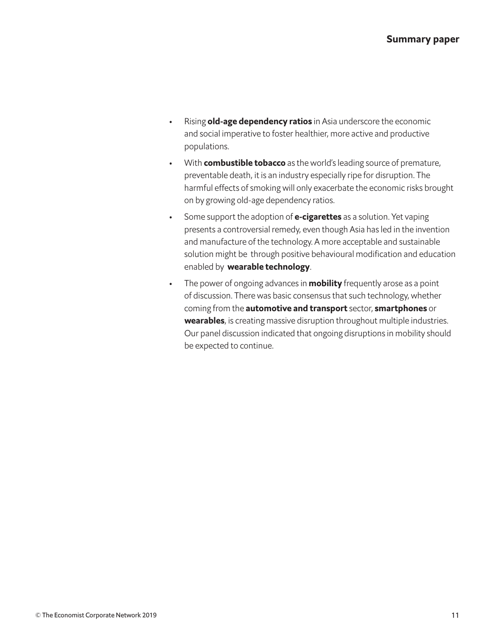- Rising old-age dependency ratios in Asia underscore the economic and social imperative to foster healthier, more active and productive populations.
- With **combustible tobacco** as the world's leading source of premature, preventable death, it is an industry especially ripe for disruption. The harmful effects of smoking will only exacerbate the economic risks brought on by growing old-age dependency ratios.
- Some support the adoption of **e-cigarettes** as a solution. Yet vaping presents a controversial remedy, even though Asia has led in the invention and manufacture of the technology. A more acceptable and sustainable solution might be through positive behavioural modification and education enabled by wearable technology.
- The power of ongoing advances in **mobility** frequently arose as a point of discussion. There was basic consensus that such technology, whether coming from the **automotive and transport** sector, **smartphones** or wearables, is creating massive disruption throughout multiple industries. Our panel discussion indicated that ongoing disruptions in mobility should be expected to continue.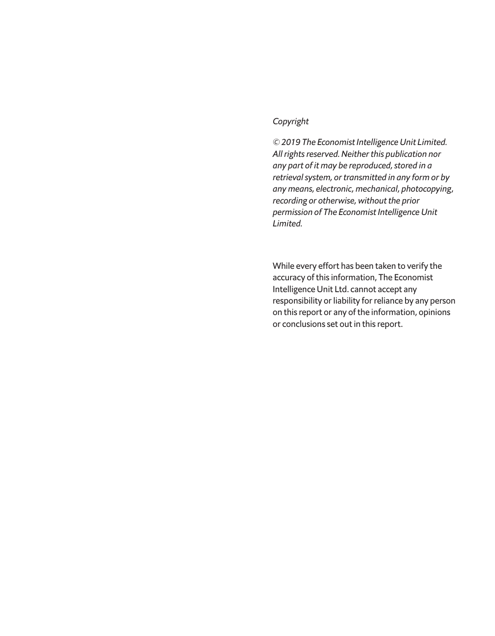#### *Copyright*

*© 2019 The Economist Intelligence Unit Limited. All rights reserved. Neither this publication nor any part of it may be reproduced, stored in a retrieval system, or transmitted in any form or by any means, electronic, mechanical, photocopying, recording or otherwise, without the prior permission of The Economist Intelligence Unit Limited.* 

While every effort has been taken to verify the accuracy of this information, The Economist Intelligence Unit Ltd. cannot accept any responsibility or liability for reliance by any person on this report or any of the information, opinions or conclusions set out in this report.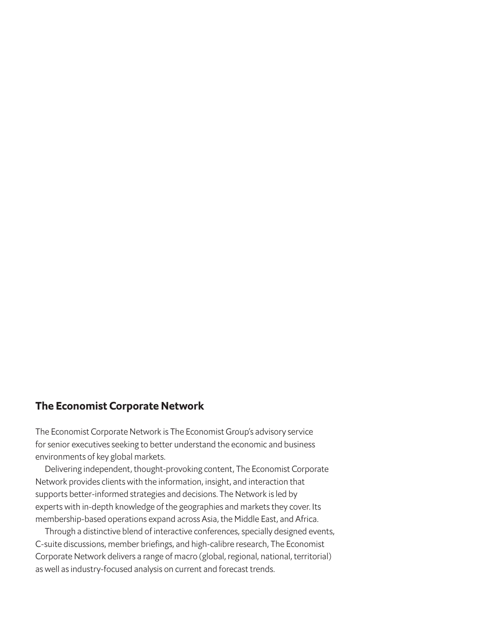## The Economist Corporate Network

The Economist Corporate Network is The Economist Group's advisory service for senior executives seeking to better understand the economic and business environments of key global markets.

Delivering independent, thought-provoking content, The Economist Corporate Network provides clients with the information, insight, and interaction that supports better-informed strategies and decisions. The Network is led by experts with in-depth knowledge of the geographies and markets they cover. Its membership-based operations expand across Asia, the Middle East, and Africa.

Through a distinctive blend of interactive conferences, specially designed events, C-suite discussions, member briefings, and high-calibre research, The Economist Corporate Network delivers a range of macro (global, regional, national, territorial) as well as industry-focused analysis on current and forecast trends.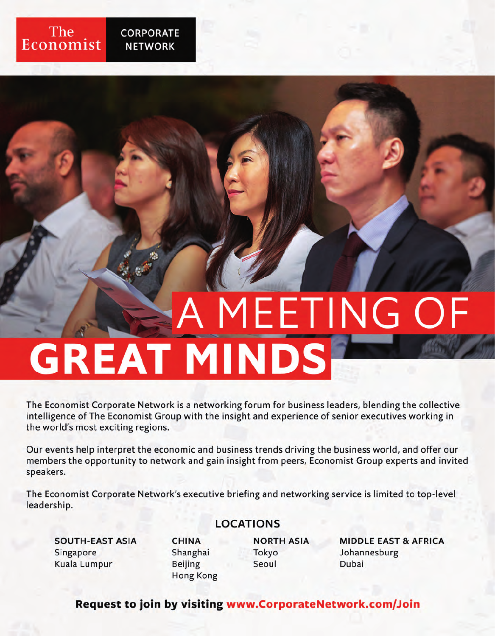

The Economist Corporate Network is a networking forum for business leaders, blending the collective intelligence of The Economist Group with the insight and experience of senior executives working in the world's most exciting regions.

Our events help interpret the economic and business trends driving the business world, and offer our members the opportunity to network and gain insight from peers, Economist Group experts and invited speakers.

The Economist Corporate Network's executive briefing and networking service is limited to top-level leadership.

## **LOCATIONS**

**SOUTH-EAST ASIA** Singapore **Kuala Lumpur** 

The

Economist

**CORPORATE** 

**NETWORK** 

**CHINA** Shanghai **Beijing Hong Kong**  **NORTH ASIA** Tokyo Seoul

**MIDDLE EAST & AFRICA** Johannesburg Dubai

Request to join by visiting www.CorporateNetwork.com/Join